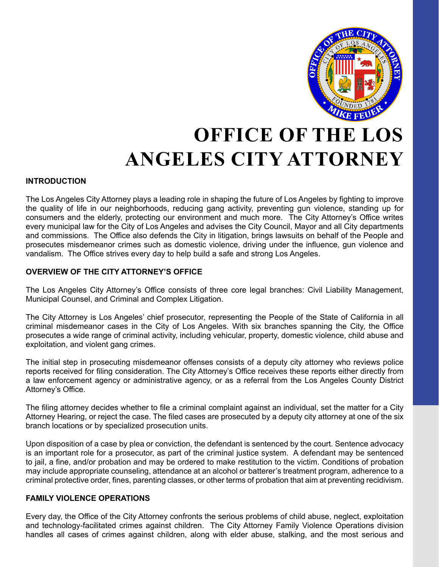

# **OFFICE OF THE LOS ANGELES CITY ATTORNEY**

### **INTRODUCTION**

The Los Angeles City Attorney plays a leading role in shaping the future of Los Angeles by fighting to improve the quality of life in our neighborhoods, reducing gang activity, preventing gun violence, standing up for consumers and the elderly, protecting our environment and much more. The City Attorney's Office writes every municipal law for the City of Los Angeles and advises the City Council, Mayor and all City departments and commissions. The Office also defends the City in litigation, brings lawsuits on behalf of the People and prosecutes misdemeanor crimes such as domestic violence, driving under the influence, gun violence and vandalism. The Office strives every day to help build a safe and strong Los Angeles.

### **OVERVIEW OF THE CITY ATTORNEY'S OFFICE**

The Los Angeles City Attorney's Office consists of three core legal branches: Civil Liability Management, Municipal Counsel, and Criminal and Complex Litigation.

The City Attorney is Los Angeles' chief prosecutor, representing the People of the State of California in all criminal misdemeanor cases in the City of Los Angeles. With six branches spanning the City, the Office prosecutes a wide range of criminal activity, including vehicular, property, domestic violence, child abuse and exploitation, and violent gang crimes.

The initial step in prosecuting misdemeanor offenses consists of a deputy city attorney who reviews police reports received for filing consideration. The City Attorney's Office receives these reports either directly from a law enforcement agency or administrative agency, or as a referral from the Los Angeles County District Attorney's Office.

The filing attorney decides whether to file a criminal complaint against an individual, set the matter for a City Attorney Hearing, or reject the case. The filed cases are prosecuted by a deputy city attorney at one of the six branch locations or by specialized prosecution units.

Upon disposition of a case by plea or conviction, the defendant is sentenced by the court. Sentence advocacy is an important role for a prosecutor, as part of the criminal justice system. A defendant may be sentenced to jail, a fine, and/or probation and may be ordered to make restitution to the victim. Conditions of probation may include appropriate counseling, attendance at an alcohol or batterer's treatment program, adherence to a criminal protective order, fines, parenting classes, or other terms of probation that aim at preventing recidivism.

### **FAMILY VIOLENCE OPERATIONS**

Every day, the Office of the City Attorney confronts the serious problems of child abuse, neglect, exploitation and technology-facilitated crimes against children. The City Attorney Family Violence Operations division handles all cases of crimes against children, along with elder abuse, stalking, and the most serious and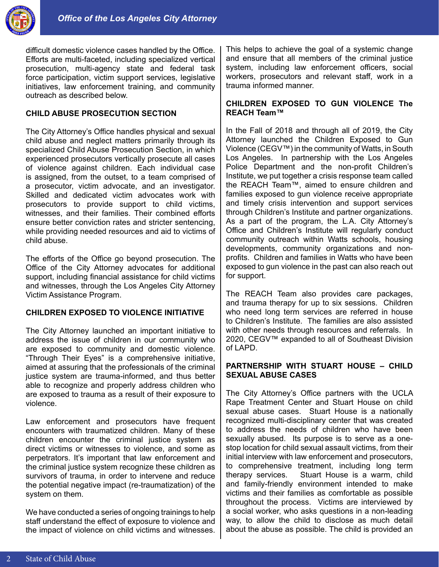

difficult domestic violence cases handled by the Office. Efforts are multi-faceted, including specialized vertical prosecution, multi-agency state and federal task force participation, victim support services, legislative initiatives, law enforcement training, and community outreach as described below.

## **CHILD ABUSE PROSECUTION SECTION**

The City Attorney's Office handles physical and sexual child abuse and neglect matters primarily through its specialized Child Abuse Prosecution Section, in which experienced prosecutors vertically prosecute all cases of violence against children. Each individual case is assigned, from the outset, to a team comprised of a prosecutor, victim advocate, and an investigator. Skilled and dedicated victim advocates work with prosecutors to provide support to child victims, witnesses, and their families. Their combined efforts ensure better conviction rates and stricter sentencing, while providing needed resources and aid to victims of child abuse.

The efforts of the Office go beyond prosecution. The Office of the City Attorney advocates for additional support, including financial assistance for child victims and witnesses, through the Los Angeles City Attorney Victim Assistance Program.

#### **CHILDREN EXPOSED TO VIOLENCE INITIATIVE**

The City Attorney launched an important initiative to address the issue of children in our community who are exposed to community and domestic violence. "Through Their Eyes" is a comprehensive initiative, aimed at assuring that the professionals of the criminal justice system are trauma-informed, and thus better able to recognize and properly address children who are exposed to trauma as a result of their exposure to violence.

Law enforcement and prosecutors have frequent encounters with traumatized children. Many of these children encounter the criminal justice system as direct victims or witnesses to violence, and some as perpetrators. It's important that law enforcement and the criminal justice system recognize these children as survivors of trauma, in order to intervene and reduce the potential negative impact (re-traumatization) of the system on them.

We have conducted a series of ongoing trainings to help staff understand the effect of exposure to violence and the impact of violence on child victims and witnesses.

This helps to achieve the goal of a systemic change and ensure that all members of the criminal justice system, including law enforcement officers, social workers, prosecutors and relevant staff, work in a trauma informed manner.

#### **CHILDREN EXPOSED TO GUN VIOLENCE The REACH Team™**

In the Fall of 2018 and through all of 2019, the City Attorney launched the Children Exposed to Gun Violence (CEGV™) in the community of Watts, in South Los Angeles. In partnership with the Los Angeles Police Department and the non-profit Children's Institute, we put together a crisis response team called the REACH Team™, aimed to ensure children and families exposed to gun violence receive appropriate and timely crisis intervention and support services through Children's Institute and partner organizations. As a part of the program, the L.A. City Attorney's Office and Children's Institute will regularly conduct community outreach within Watts schools, housing developments, community organizations and nonprofits. Children and families in Watts who have been exposed to gun violence in the past can also reach out for support.

The REACH Team also provides care packages, and trauma therapy for up to six sessions. Children who need long term services are referred in house to Children's Institute. The families are also assisted with other needs through resources and referrals. In 2020, CEGV™ expanded to all of Southeast Division of LAPD.

### **PARTNERSHIP WITH STUART HOUSE – CHILD SEXUAL ABUSE CASES**

The City Attorney's Office partners with the UCLA Rape Treatment Center and Stuart House on child sexual abuse cases. Stuart House is a nationally recognized multi-disciplinary center that was created to address the needs of children who have been sexually abused. Its purpose is to serve as a onestop location for child sexual assault victims, from their initial interview with law enforcement and prosecutors, to comprehensive treatment, including long term therapy services. Stuart House is a warm, child and family-friendly environment intended to make victims and their families as comfortable as possible throughout the process. Victims are interviewed by a social worker, who asks questions in a non-leading way, to allow the child to disclose as much detail about the abuse as possible. The child is provided an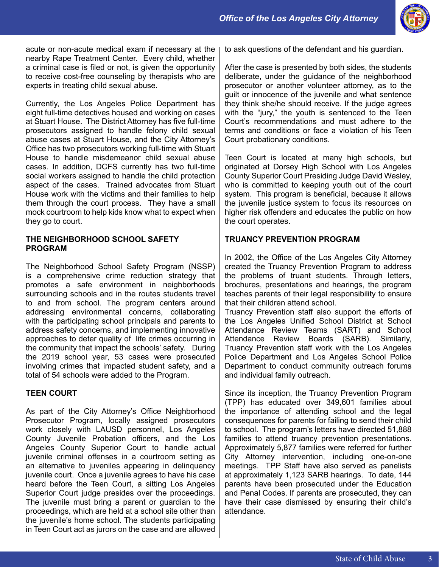

acute or non-acute medical exam if necessary at the nearby Rape Treatment Center. Every child, whether a criminal case is filed or not, is given the opportunity to receive cost-free counseling by therapists who are experts in treating child sexual abuse.

Currently, the Los Angeles Police Department has eight full-time detectives housed and working on cases at Stuart House. The District Attorney has five full-time prosecutors assigned to handle felony child sexual abuse cases at Stuart House, and the City Attorney's Office has two prosecutors working full-time with Stuart House to handle misdemeanor child sexual abuse cases. In addition, DCFS currently has two full-time social workers assigned to handle the child protection aspect of the cases. Trained advocates from Stuart House work with the victims and their families to help them through the court process. They have a small mock courtroom to help kids know what to expect when they go to court.

#### **THE NEIGHBORHOOD SCHOOL SAFETY PROGRAM**

The Neighborhood School Safety Program (NSSP) is a comprehensive crime reduction strategy that promotes a safe environment in neighborhoods surrounding schools and in the routes students travel to and from school. The program centers around addressing environmental concerns, collaborating with the participating school principals and parents to address safety concerns, and implementing innovative approaches to deter quality of life crimes occurring in the community that impact the schools' safety. During the 2019 school year, 53 cases were prosecuted involving crimes that impacted student safety, and a total of 54 schools were added to the Program.

### **TEEN COURT**

As part of the City Attorney's Office Neighborhood Prosecutor Program, locally assigned prosecutors work closely with LAUSD personnel, Los Angeles County Juvenile Probation officers, and the Los Angeles County Superior Court to handle actual juvenile criminal offenses in a courtroom setting as an alternative to juveniles appearing in delinquency juvenile court. Once a juvenile agrees to have his case heard before the Teen Court, a sitting Los Angeles Superior Court judge presides over the proceedings. The juvenile must bring a parent or guardian to the proceedings, which are held at a school site other than the juvenile's home school. The students participating in Teen Court act as jurors on the case and are allowed to ask questions of the defendant and his guardian.

After the case is presented by both sides, the students deliberate, under the guidance of the neighborhood prosecutor or another volunteer attorney, as to the guilt or innocence of the juvenile and what sentence they think she/he should receive. If the judge agrees with the "jury," the youth is sentenced to the Teen Court's recommendations and must adhere to the terms and conditions or face a violation of his Teen Court probationary conditions.

Teen Court is located at many high schools, but originated at Dorsey High School with Los Angeles County Superior Court Presiding Judge David Wesley, who is committed to keeping youth out of the court system. This program is beneficial, because it allows the juvenile justice system to focus its resources on higher risk offenders and educates the public on how the court operates.

### **TRUANCY PREVENTION PROGRAM**

In 2002, the Office of the Los Angeles City Attorney created the Truancy Prevention Program to address the problems of truant students. Through letters, brochures, presentations and hearings, the program teaches parents of their legal responsibility to ensure that their children attend school.

Truancy Prevention staff also support the efforts of the Los Angeles Unified School District at School Attendance Review Teams (SART) and School Attendance Review Boards (SARB). Similarly, Truancy Prevention staff work with the Los Angeles Police Department and Los Angeles School Police Department to conduct community outreach forums and individual family outreach.

Since its inception, the Truancy Prevention Program (TPP) has educated over 349,601 families about the importance of attending school and the legal consequences for parents for failing to send their child to school. The program's letters have directed 51,888 families to attend truancy prevention presentations. Approximately 5,877 families were referred for further City Attorney intervention, including one-on-one meetings. TPP Staff have also served as panelists at approximately 1,123 SARB hearings. To date, 144 parents have been prosecuted under the Education and Penal Codes. If parents are prosecuted, they can have their case dismissed by ensuring their child's attendance.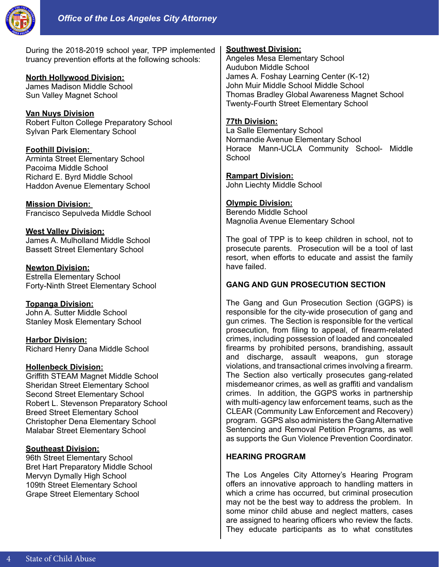

During the 2018-2019 school year, TPP implemented truancy prevention efforts at the following schools:

### **North Hollywood Division:**

James Madison Middle School Sun Valley Magnet School

**Van Nuys Division** Robert Fulton College Preparatory School Sylvan Park Elementary School

**Foothill Division:**  Arminta Street Elementary School Pacoima Middle School Richard E. Byrd Middle School Haddon Avenue Elementary School

**Mission Division:**  Francisco Sepulveda Middle School

**West Valley Division:** James A. Mulholland Middle School Bassett Street Elementary School

**Newton Division:** Estrella Elementary School Forty-Ninth Street Elementary School

**Topanga Division:** John A. Sutter Middle School Stanley Mosk Elementary School

**Harbor Division:** Richard Henry Dana Middle School

### **Hollenbeck Division:**

Griffith STEAM Magnet Middle School Sheridan Street Elementary School Second Street Elementary School Robert L. Stevenson Preparatory School Breed Street Elementary School Christopher Dena Elementary School Malabar Street Elementary School

### **Southeast Division:**

96th Street Elementary School Bret Hart Preparatory Middle School Mervyn Dymally High School 109th Street Elementary School Grape Street Elementary School

#### **Southwest Division:**

Angeles Mesa Elementary School Audubon Middle School James A. Foshay Learning Center (K-12) John Muir Middle School Middle School Thomas Bradley Global Awareness Magnet School Twenty-Fourth Street Elementary School

#### **77th Division:**

La Salle Elementary School Normandie Avenue Elementary School Horace Mann-UCLA Community School- Middle **School** 

### **Rampart Division:**

John Liechty Middle School

### **Olympic Division:**

Berendo Middle School Magnolia Avenue Elementary School

The goal of TPP is to keep children in school, not to prosecute parents. Prosecution will be a tool of last resort, when efforts to educate and assist the family have failed.

# **GANG AND GUN PROSECUTION SECTION**

The Gang and Gun Prosecution Section (GGPS) is responsible for the city-wide prosecution of gang and gun crimes. The Section is responsible for the vertical prosecution, from filing to appeal, of firearm-related crimes, including possession of loaded and concealed firearms by prohibited persons, brandishing, assault and discharge, assault weapons, gun storage violations, and transactional crimes involving a firearm. The Section also vertically prosecutes gang-related misdemeanor crimes, as well as graffiti and vandalism crimes. In addition, the GGPS works in partnership with multi-agency law enforcement teams, such as the CLEAR (Community Law Enforcement and Recovery) program. GGPS also administers the Gang Alternative Sentencing and Removal Petition Programs, as well as supports the Gun Violence Prevention Coordinator.

# **HEARING PROGRAM**

The Los Angeles City Attorney's Hearing Program offers an innovative approach to handling matters in which a crime has occurred, but criminal prosecution may not be the best way to address the problem. In some minor child abuse and neglect matters, cases are assigned to hearing officers who review the facts. They educate participants as to what constitutes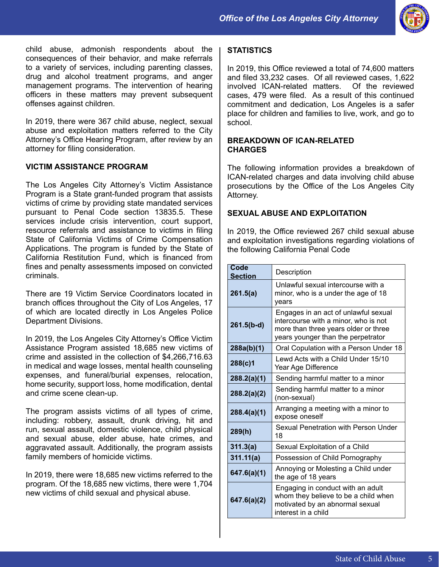

child abuse, admonish respondents about the consequences of their behavior, and make referrals to a variety of services, including parenting classes, drug and alcohol treatment programs, and anger management programs. The intervention of hearing officers in these matters may prevent subsequent offenses against children.

In 2019, there were 367 child abuse, neglect, sexual abuse and exploitation matters referred to the City Attorney's Office Hearing Program, after review by an attorney for filing consideration.

#### **VICTIM ASSISTANCE PROGRAM**

The Los Angeles City Attorney's Victim Assistance Program is a State grant-funded program that assists victims of crime by providing state mandated services pursuant to Penal Code section 13835.5. These services include crisis intervention, court support, resource referrals and assistance to victims in filing State of California Victims of Crime Compensation Applications. The program is funded by the State of California Restitution Fund, which is financed from fines and penalty assessments imposed on convicted criminals.

There are 19 Victim Service Coordinators located in branch offices throughout the City of Los Angeles, 17 of which are located directly in Los Angeles Police Department Divisions.

In 2019, the Los Angeles City Attorney's Office Victim Assistance Program assisted 18,685 new victims of crime and assisted in the collection of \$4,266,716.63 in medical and wage losses, mental health counseling expenses, and funeral/burial expenses, relocation, home security, support loss, home modification, dental and crime scene clean-up.

The program assists victims of all types of crime, including: robbery, assault, drunk driving, hit and run, sexual assault, domestic violence, child physical and sexual abuse, elder abuse, hate crimes, and aggravated assault. Additionally, the program assists family members of homicide victims.

In 2019, there were 18,685 new victims referred to the program. Of the 18,685 new victims, there were 1,704 new victims of child sexual and physical abuse.

#### **STATISTICS**

In 2019, this Office reviewed a total of 74,600 matters and filed 33,232 cases. Of all reviewed cases, 1,622 involved ICAN-related matters. Of the reviewed cases, 479 were filed. As a result of this continued commitment and dedication, Los Angeles is a safer place for children and families to live, work, and go to school.

#### **BREAKDOWN OF ICAN-RELATED CHARGES**

The following information provides a breakdown of ICAN-related charges and data involving child abuse prosecutions by the Office of the Los Angeles City Attorney.

## **SEXUAL ABUSE AND EXPLOITATION**

In 2019, the Office reviewed 267 child sexual abuse and exploitation investigations regarding violations of the following California Penal Code

| Code<br><b>Section</b> | Description                                                                                                                                                |
|------------------------|------------------------------------------------------------------------------------------------------------------------------------------------------------|
| 261.5(a)               | Unlawful sexual intercourse with a<br>minor, who is a under the age of 18<br>years                                                                         |
| $261.5(b-d)$           | Engages in an act of unlawful sexual<br>intercourse with a minor, who is not<br>more than three years older or three<br>years younger than the perpetrator |
| 288a(b)(1)             | Oral Copulation with a Person Under 18                                                                                                                     |
| 288(c)1                | Lewd Acts with a Child Under 15/10<br>Year Age Difference                                                                                                  |
| 288.2(a)(1)            | Sending harmful matter to a minor                                                                                                                          |
| 288.2(a)(2)            | Sending harmful matter to a minor<br>(non-sexual)                                                                                                          |
| 288.4(a)(1)            | Arranging a meeting with a minor to<br>expose oneself                                                                                                      |
| 289(h)                 | Sexual Penetration with Person Under<br>18                                                                                                                 |
| 311.3(a)               | Sexual Exploitation of a Child                                                                                                                             |
| 311.11(a)              | Possession of Child Pornography                                                                                                                            |
| 647.6(a)(1)            | Annoying or Molesting a Child under<br>the age of 18 years                                                                                                 |
| 647.6(a)(2)            | Engaging in conduct with an adult<br>whom they believe to be a child when<br>motivated by an abnormal sexual<br>interest in a child                        |